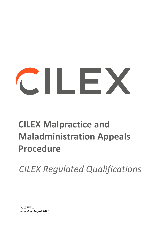# CONTROL

# **CILEX Malpractice and Maladministration Appeals Procedure**

*CILEX Regulated Qualifications*

*V1.1 FINAL Issue date August 2021*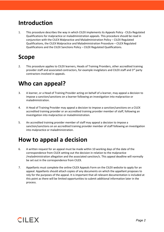#### **Introduction**

1. This procedure describes the way in which CILEX implements its Appeals Policy - CILEx Regulated Qualifications for malpractice or maladministration appeals. This procedure should be read in conjunction with the CILEX Malpractice and Maladministration Policy – CILEX Regulated Qualifications, the CILEX Malpractice and Maladministration Procedure – CILEX Regulated Qualifications and the CILEX Sanctions Policy – CILEX Regulated Qualifications.

#### **Scope**

2. This procedure applies to CILEX learners, Heads of Training Providers, other accredited training provider staff and associated contractors, for example invigilators and CILEX staff and  $3<sup>rd</sup>$  party contractors involved in appeals.

#### **Who can appeal?**

- 3. A learner, or a Head of Training Provider acting on behalf of a learner, may appeal a decision to impose a sanction/sanctions on a learner following an investigation into malpractice or maladministration.
- 4. A Head of Training Provider may appeal a decision to impose a sanction/sanctions on a CILEX accredited training provider or an accredited training provider member of staff, following an investigation into malpractice or maladministration.
- 5. An accredited training provider member of staff may appeal a decision to impose a sanction/sanctions on an accredited training provider member of staff following an investigation into malpractice or maladministration.

#### **How to appeal a decision**

- 6. A written request for an appeal must be made within 10 working days of the date of the correspondence from CILEX setting out the decision in relation to the malpractice /maladministration allegation and the associated sanction/s. This appeal deadline will normally be set out in the correspondence from CILEX.
- 7. Appellants must complete the online CILEX Appeals Form on the CILEX website to apply for an appeal. Appellants should attach copies of any documents on which the appellant proposes to rely for the purposes of the appeal. It is important that all relevant documentation is included at this point as there will be limited opportunities to submit additional information later in the process.

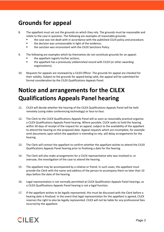#### **Grounds for appeal**

- 8. The appellant must set out the grounds on which they rely. The grounds must be reasonable and relate to the case in question. The following are examples of reasonable grounds:
	- the case was not dealt with in accordance with the published CILEX policy and procedure;
	- the decision was unreasonable in light of the evidence;
	- **the sanction was inconsistent with the CILEX Sanctions Policy.**
- 9. The following are examples which by themselves do not constitute grounds for an appeal:
	- the appellant regrets his/her actions;
	- the appellant has a previously unblemished record with CILEX (or other awarding organisations).
- 10. Requests for appeals are reviewed by a CILEX Officer. The grounds for appeal are checked for their validity. Subject to the grounds for appeal being valid, the appeal will be submitted for formal consideration by the CILEX Qualifications Appeals Panel.

# **Notice and arrangements for the CILEX Qualifications Appeals Panel hearing**

- 11. CILEX will decide whether the hearing of the CILEX Qualifications Appeals Panel will be held remotely (using video conferencing technology) or face-to-face.
- 12. The Clerk to the CILEX Qualifications Appeals Panel will as soon as reasonably practical organise a CILEX Qualifications Appeals Panel hearing. Where possible, CILEX seeks to hold the hearing within 30 days of receipt of the request for an appeal, subject to the availability of the appellant to attend the hearing on the proposed date. Appeal requests which are incomplete, for example omit documents upon which the appellant is intending to rely, will delay arrangements for the hearing.
- 13. The Clerk will contact the appellant to confirm whether the appellant wishes to attend the CILEX Qualifications Appeals Panel hearing prior to finalising a date for the hearing.
- 14. The Clerk will also make arrangements for a CILEX representative who was involved in, or oversaw, the investigation of the case to attend the hearing.
- 15. The appellant may be accompanied by a relative or friend. In such cases, the appellant must provide the Clerk with the name and address of the person to accompany them no later than 10 days before the date of the hearing.
- 16. Legal representation is not normally permitted at CILEX Qualification Appeals Panel hearings, as a CILEX Qualifications Appeals Panel hearing is not a legal function.
- 17. If the appellant wishes to be legally represented, this must be discussed with the Clerk before a hearing date is finalised. In the event that legal representation for the appellant is agreed, CILEX reserves the right to also be legally represented. CILEX will not be liable for any professional fees incurred by the appellant.

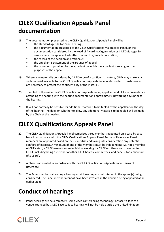### **CILEX Qualification Appeals Panel documentation**

- 18. The documentation presented to the CILEX Qualifications Appeals Panel will be:
	- the standard agenda for Panel hearings;
	- the documentation presented to the CILEX Qualifications Malpractice Panel, or the documentation considered by the Head of Awarding Organisation or CILEX Manager for cases where the appellant admitted malpractice/maladministration;
	- the record of the decision and rationale;
	- **the appellant's statement of the grounds of appeal;**
	- **the documents provided by the appellant on which the appellant is relying for the** purposes of the appeal.
- 19. Where any material is considered by CILEX to be of a confidential nature, CILEX may make any such material available to the CILEX Qualifications Appeals Panel under such circumstances as are necessary to protect the confidentiality of the material.
- 20. The Clerk will provide the CILEX Qualifications Appeals Panel, appellant and CILEX representative attending the hearing with the hearing documentation approximately 10 working days prior to the hearing.
- 21. It will not normally be possible for additional materials to be tabled by the appellant on the day of the hearing. The decision whether to allow any additional materials to be tabled will be made by the Chair at the hearing.

#### **CILEX Qualifications Appeals Panel**

- 22. The CILEX Qualifications Appeals Panel comprises three members appointed on a case-by-case basis in accordance with the CILEX Qualifications Appeals Panel Terms of Reference. Panel members are appointed based on their expertise and taking into consideration any potential conflicts of interest. A minimum of one of the members must be independent (i.e. not a member of CILEX staff, a CILEX assessor or an individual working for CILEX or otherwise connected to CILEX (including being a member of other CILEX boards, committees, and panels) for a minimum of 5 years).
- 23. A Chair is appointed in accordance with the CILEX Qualifications Appeals Panel Terms of Reference.
- 24. The Panel members attending a hearing must have no personal interest in the appeal(s) being considered. The Panel members cannot have been involved in the decision being appealed at an earlier stage.

#### **Conduct of hearings**

25. Panel hearings are held remotely (using video conferencing technology) or face-to-face at a venue arranged by CILEX. Face-to-face hearings will not be held outside the United Kingdom.

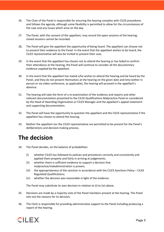- 26. The Chair of the Panel is responsible for ensuring the hearing complies with CILEX procedures and follows the agenda, although some flexibility is permitted to allow for the circumstances of the case and any issues which arise on the day.
- 27. The Panel, with the consent of the appellant, may record the open sessions of the hearing; closed sessions cannot be recorded.
- 28. The Panel will give the appellant the opportunity of being heard. The appellant can choose not to present their evidence to the Panel. In the event that the appellant wishes to be heard, the CILEX representative will also be invited to present their case.
- 29. In the event that the appellant has chosen not to attend the hearing or has failed to confirm their attendance at the hearing, the Panel will continue to consider all the documentary evidence supplied by the appellant.
- 30. In the event that the appellant has stated s/he wishes to attend the hearing and be heard by the Panel, and they do not present themselves at the hearing on the given date and time (either in person or via video conference, as applicable), the hearing will proceed in the appellant's absence.
- 31. The hearing will take the form of a re-examination of the evidence and reports and other relevant documentation presented to the CILEX Qualifications Malpractice Panel or considered by the Head of Awarding Organisation or CILEX Manager and the appellant's appeal statement and supporting documentation.
- 32. The Panel will have the opportunity to question the appellant and the CILEX representative if the appellant has chosen to attend the hearing.
- 33. Neither the appellant nor the CILEX representative are permitted to be present for the Panel's deliberations and decision-making process.

#### **The decision**

- 34. The Panel decides, on the balance of probabilities:
	- (i) whether CILEX has followed its policies and procedures correctly and consistently and applied them properly and fairly in arriving at judgements;
	- (ii) whether there is sufficient evidence to support a decision that malpractice/maladministration is proven;
	- (iii) the appropriateness of the sanction in accordance with the CILEX Sanctions Policy CILEX Regulated Qualifications;
	- (iv) whether the decision was reasonable in light of the evidence.

The Panel may substitute its own decision in relation to (i) to (iv) above.

- 35. Decisions are made by a majority vote of the Panel members present at the hearing. The Panel sets out the reasons for its decision.
- 36. The Clerk is responsible for providing administrative support to the Panel including producing a report of the hearing.

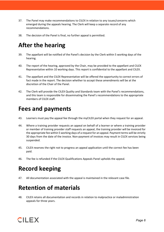- 37. The Panel may make recommendations to CILEX in relation to any issues/concerns which emerged during the appeals hearing. The Clerk will keep a separate record of any recommendations.
- 38. The decision of the Panel is final, no further appeal is permitted.

#### **After the hearing**

- 39. The appellant will be notified of the Panel's decision by the Clerk within 5 working days of the hearing.
- 40. The report of the hearing, approved by the Chair, may be provided to the appellant and CILEX Representative within 10 working days. This report is confidential to the appellant and CILEX.
- 41. The appellant and the CILEX Representative will be offered the opportunity to correct errors of fact made in the report. The decision whether to accept these amendments will be at the discretion of the Chair of the Panel.
- 42. The Clerk will provide the CILEX Quality and Standards team with the Panel's recommendations, and this team is responsible for disseminating the Panel's recommendations to the appropriate members of CILEX staff.

#### **Fees and payments**

- 43. Learners must pay the appeal fee through the myCILEX portal when they request for an appeal.
- 44. Where a training provider requests an appeal on behalf of a learner or where a training provider or member of training provider staff requests an appeal, the training provider will be invoiced for the appropriate fee within 5 working days of a request for an appeal. Payment terms will be strictly 30 days from the date of the invoice. Non-payment of invoices may result in CILEX services being suspended.
- 45. CILEX reserves the right not to progress an appeal application until the correct fee has been paid.
- 46. The fee is refunded if the CILEX Qualifications Appeals Panel upholds the appeal.

## **Record keeping**

47. All documentation associated with the appeal is maintained in the relevant case file.

#### **Retention of materials**

48. CILEX retains all documentation and records in relation to malpractice or maladministration appeals for three years.